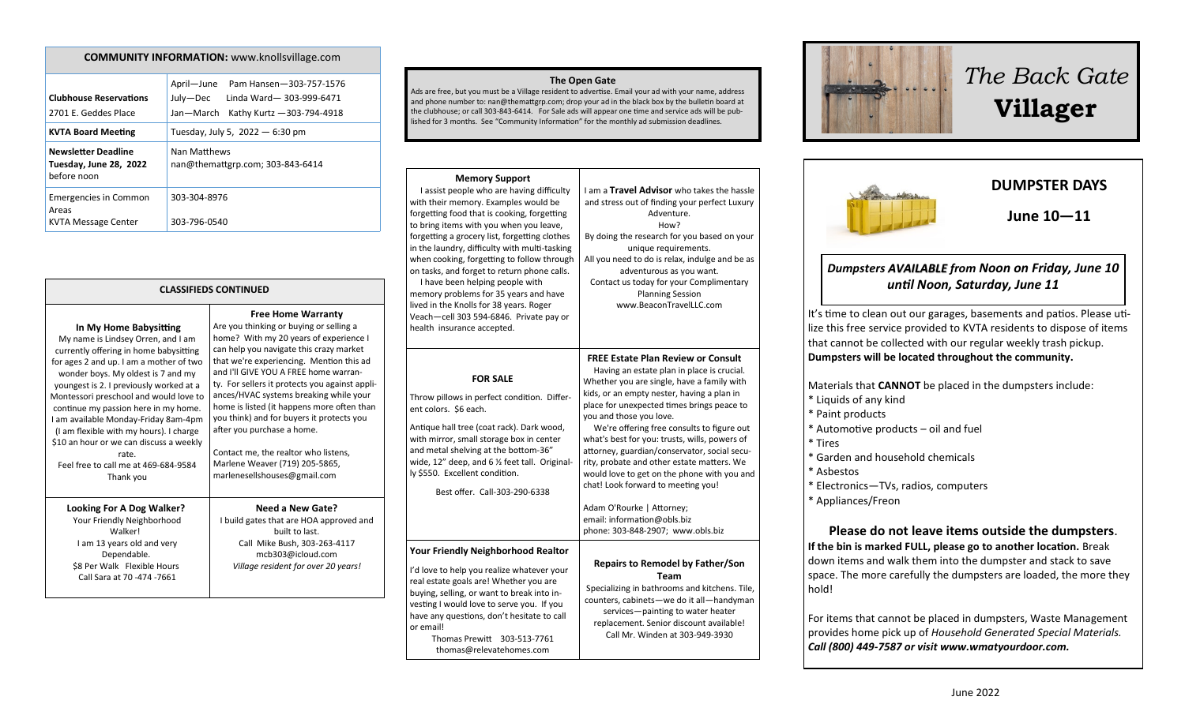#### **COMMUNITY INFORMATION:** www.knollsvillage.com

| <b>Clubhouse Reservations</b><br>2701 E. Geddes Place               | April-June<br>Pam Hansen-303-757-1576<br>Linda Ward-303-999-6471<br>July—Dec<br>Jan-March<br>Kathy Kurtz - 303-794-4918 |  |
|---------------------------------------------------------------------|-------------------------------------------------------------------------------------------------------------------------|--|
| <b>KVTA Board Meeting</b>                                           | Tuesday, July 5, 2022 - 6:30 pm                                                                                         |  |
| <b>Newsletter Deadline</b><br>Tuesday, June 28, 2022<br>before noon | Nan Matthews<br>nan@themattgrp.com; 303-843-6414                                                                        |  |
| <b>Emergencies in Common</b><br>Areas                               | 303-304-8976                                                                                                            |  |
| KVTA Message Center                                                 | 303-796-0540                                                                                                            |  |

### **CLASSIFIEDS CONTINUED**

| In My Home Babysitting<br>My name is Lindsey Orren, and I am<br>currently offering in home babysitting<br>for ages 2 and up. I am a mother of two<br>wonder boys. My oldest is 7 and my<br>youngest is 2. I previously worked at a<br>Montessori preschool and would love to<br>continue my passion here in my home.<br>I am available Monday-Friday 8am-4pm<br>(I am flexible with my hours). I charge<br>\$10 an hour or we can discuss a weekly<br>rate.<br>Feel free to call me at 469-684-9584<br>Thank you | <b>Free Home Warranty</b><br>Are you thinking or buying or selling a<br>home? With my 20 years of experience I<br>can help you navigate this crazy market<br>that we're experiencing. Mention this ad<br>and I'll GIVE YOU A FREE home warran-<br>ty. For sellers it protects you against appli-<br>ances/HVAC systems breaking while your<br>home is listed (it happens more often than<br>you think) and for buyers it protects you<br>after you purchase a home.<br>Contact me, the realtor who listens,<br>Marlene Weaver (719) 205-5865,<br>marlenesellshouses@gmail.com |
|------------------------------------------------------------------------------------------------------------------------------------------------------------------------------------------------------------------------------------------------------------------------------------------------------------------------------------------------------------------------------------------------------------------------------------------------------------------------------------------------------------------|-------------------------------------------------------------------------------------------------------------------------------------------------------------------------------------------------------------------------------------------------------------------------------------------------------------------------------------------------------------------------------------------------------------------------------------------------------------------------------------------------------------------------------------------------------------------------------|
| Looking For A Dog Walker?<br>Your Friendly Neighborhood<br>Walkerl<br>I am 13 years old and very<br>Dependable.<br>\$8 Per Walk Flexible Hours<br>Call Sara at 70 -474 -7661                                                                                                                                                                                                                                                                                                                                     | Need a New Gate?<br>I build gates that are HOA approved and<br>built to last.<br>Call Mike Bush, 303-263-4117<br>mcb303@icloud.com<br>Village resident for over 20 years!                                                                                                                                                                                                                                                                                                                                                                                                     |

#### **The Open Gate**

Ads are free, but you must be a Village resident to advertise. Email your ad with your name, address and phone number to: nan@themattgrp.com; drop your ad in the black box by the bulletin board at the clubhouse; or call 303-843-6414. For Sale ads will appear one time and service ads will be published for 3 months. See "Community Information" for the monthly ad submission deadlines.

#### **Memory Support** I assist people who are having difficulty with their memory. Examples would be forgetting food that is cooking, forgetting to bring items with you when you leave, forgetting a grocery list, forgetting clothes in the laundry, difficulty with multi-tasking when cooking, forgetting to follow through on tasks, and forget to return phone calls. I have been helping people with memory problems for 35 years and have lived in the Knolls for 38 years. Roger Veach—cell 303 594-6846. Private pay or health insurance accepted. I am a **Travel Advisor** who takes the hassle and stress out of finding your perfect Luxury Adventure. How? By doing the research for you based on your unique requirements. All you need to do is relax, indulge and be as adventurous as you want. Contact us today for your Complimentary Planning Session www.BeaconTravelLLC.com **FOR SALE** Throw pillows in perfect condition. Different colors. \$6 each. Antique hall tree (coat rack). Dark wood, with mirror, small storage box in center and metal shelving at the bottom-36" wide, 12" deep, and 6 ½ feet tall. Originally \$550. Excellent condition. Best offer. Call-303-290-6338  **FREE Estate Plan Review or Consult** Having an estate plan in place is crucial. Whether you are single, have a family with kids, or an empty nester, having a plan in place for unexpected times brings peace to you and those you love. We're offering free consults to figure out what's best for you: trusts, wills, powers of attorney, guardian/conservator, social security, probate and other estate matters. We would love to get on the phone with you and chat! Look forward to meeting you! Adam O'Rourke | Attorney; email: information@obls.biz phone: 303-848-2907; www.obls.biz **Your Friendly Neighborhood Realtor** I'd love to help you realize whatever your real estate goals are! Whether you are buying, selling, or want to break into investing I would love to serve you. If you have any questions, don't hesitate to call Thomas Prewitt 303-513-7761 thomas@relevatehomes.com **Repairs to Remodel by Father/Son Team** Specializing in bathrooms and kitchens. Tile, counters, cabinets—we do it all—handyman services—painting to water heater replacement. Senior discount available! Call Mr. Winden at 303-949-3930

or email!



# *Dumpsters AVAILABLE from Noon on Friday, June 10*

# *until Noon, Saturday, June 11*

It's time to clean out our garages, basements and patios. Please utilize this free service provided to KVTA residents to dispose of items that cannot be collected with our regular weekly trash pickup. **Dumpsters will be located throughout the community.**

Materials that **CANNOT** be placed in the dumpsters include: \* Liquids of any kind \* Paint products \* Automotive products – oil and fuel \* Tires \* Garden and household chemicals \* Asbestos \* Electronics—TVs, radios, computers \* Appliances/Freon **Please do not leave items outside the dumpsters**. **If the bin is marked FULL, please go to another location.** Break down items and walk them into the dumpster and stack to save space. The more carefully the dumpsters are loaded, the more they hold! For items that cannot be placed in dumpsters, Waste Management provides home pick up of *Household Generated Special Materials.*

*Call (800) 449-7587 or visit www.wmatyourdoor.com.*